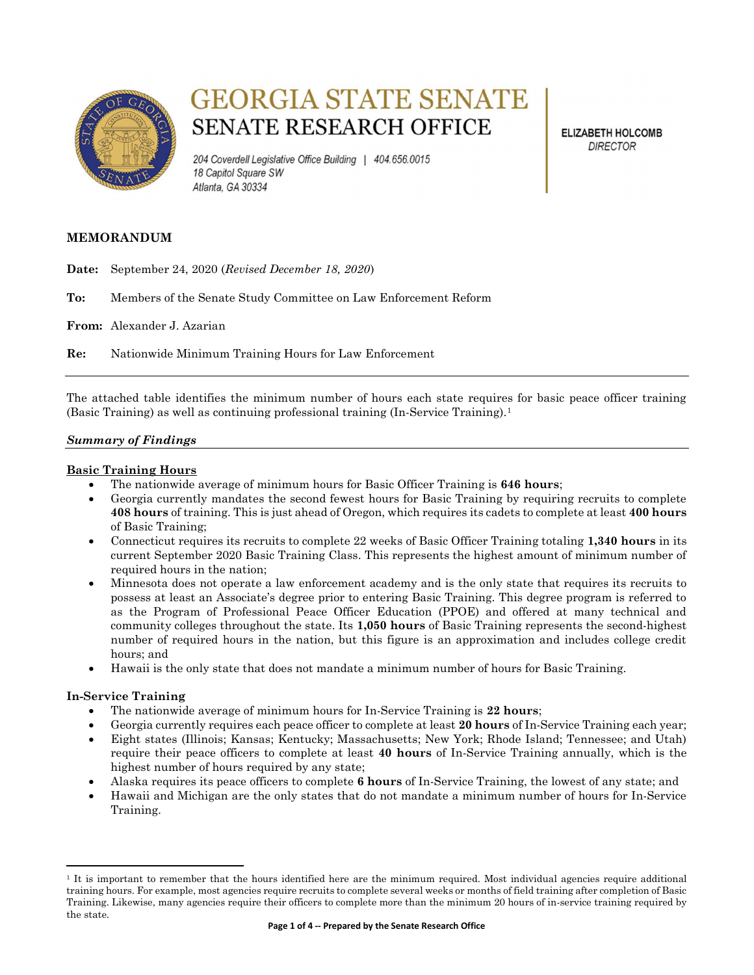

# **GEORGIA STATE SENATE SENATE RESEARCH OFFICE**

204 Coverdell Legislative Office Building | 404.656.0015 18 Capitol Square SW Atlanta, GA 30334

**ELIZABETH HOLCOMB DIRECTOR** 

### MEMORANDUM

Date: September 24, 2020 (Revised December 18, 2020)

To: Members of the Senate Study Committee on Law Enforcement Reform

From: Alexander J. Azarian

Re: Nationwide Minimum Training Hours for Law Enforcement

The attached table identifies the minimum number of hours each state requires for basic peace officer training (Basic Training) as well as continuing professional training (In-Service Training).<sup>1</sup>

#### Summary of Findings

#### Basic Training Hours

- The nationwide average of minimum hours for Basic Officer Training is **646 hours**;
- Georgia currently mandates the second fewest hours for Basic Training by requiring recruits to complete 408 hours of training. This is just ahead of Oregon, which requires its cadets to complete at least 400 hours of Basic Training;
- Connecticut requires its recruits to complete 22 weeks of Basic Officer Training totaling 1,340 hours in its current September 2020 Basic Training Class. This represents the highest amount of minimum number of required hours in the nation;
- Minnesota does not operate a law enforcement academy and is the only state that requires its recruits to possess at least an Associate's degree prior to entering Basic Training. This degree program is referred to as the Program of Professional Peace Officer Education (PPOE) and offered at many technical and community colleges throughout the state. Its 1,050 hours of Basic Training represents the second-highest number of required hours in the nation, but this figure is an approximation and includes college credit hours; and
- Hawaii is the only state that does not mandate a minimum number of hours for Basic Training.

#### In-Service Training

 $\overline{a}$ 

- The nationwide average of minimum hours for In-Service Training is 22 hours;
- Georgia currently requires each peace officer to complete at least 20 hours of In-Service Training each year;
- Eight states (Illinois; Kansas; Kentucky; Massachusetts; New York; Rhode Island; Tennessee; and Utah) require their peace officers to complete at least 40 hours of In-Service Training annually, which is the highest number of hours required by any state;
- Alaska requires its peace officers to complete 6 hours of In-Service Training, the lowest of any state; and
- Hawaii and Michigan are the only states that do not mandate a minimum number of hours for In-Service Training.

<sup>&</sup>lt;sup>1</sup> It is important to remember that the hours identified here are the minimum required. Most individual agencies require additional training hours. For example, most agencies require recruits to complete several weeks or months of field training after completion of Basic Training. Likewise, many agencies require their officers to complete more than the minimum 20 hours of in-service training required by the state.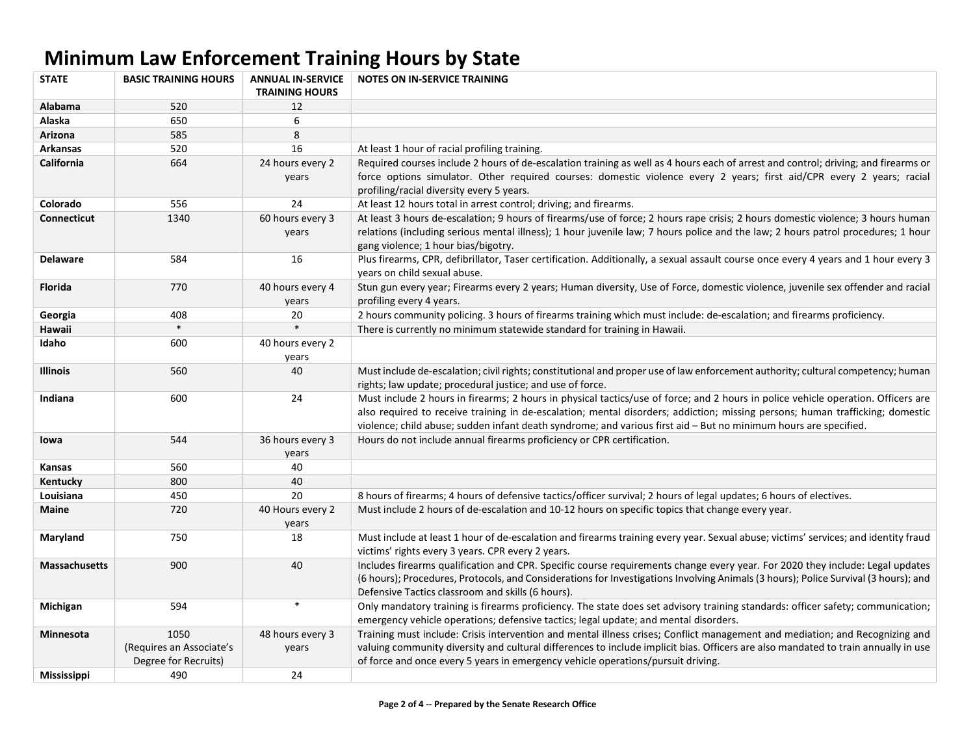## Minimum Law Enforcement Training Hours by State

| <b>STATE</b>         | <b>BASIC TRAINING HOURS</b>                      | <b>ANNUAL IN-SERVICE</b><br><b>TRAINING HOURS</b> | <b>NOTES ON IN-SERVICE TRAINING</b>                                                                                                                                                                                                                                                                                                                                                    |
|----------------------|--------------------------------------------------|---------------------------------------------------|----------------------------------------------------------------------------------------------------------------------------------------------------------------------------------------------------------------------------------------------------------------------------------------------------------------------------------------------------------------------------------------|
| Alabama              | 520                                              | 12                                                |                                                                                                                                                                                                                                                                                                                                                                                        |
| Alaska               | 650                                              | 6                                                 |                                                                                                                                                                                                                                                                                                                                                                                        |
| Arizona              | 585                                              | 8                                                 |                                                                                                                                                                                                                                                                                                                                                                                        |
| <b>Arkansas</b>      | 520                                              | 16                                                | At least 1 hour of racial profiling training.                                                                                                                                                                                                                                                                                                                                          |
| <b>California</b>    | 664                                              | 24 hours every 2                                  | Required courses include 2 hours of de-escalation training as well as 4 hours each of arrest and control; driving; and firearms or                                                                                                                                                                                                                                                     |
|                      |                                                  | years                                             | force options simulator. Other required courses: domestic violence every 2 years; first aid/CPR every 2 years; racial<br>profiling/racial diversity every 5 years.                                                                                                                                                                                                                     |
| Colorado             | 556                                              | 24                                                | At least 12 hours total in arrest control; driving; and firearms.                                                                                                                                                                                                                                                                                                                      |
| <b>Connecticut</b>   | 1340                                             | 60 hours every 3<br>years                         | At least 3 hours de-escalation; 9 hours of firearms/use of force; 2 hours rape crisis; 2 hours domestic violence; 3 hours human<br>relations (including serious mental illness); 1 hour juvenile law; 7 hours police and the law; 2 hours patrol procedures; 1 hour<br>gang violence; 1 hour bias/bigotry.                                                                             |
| <b>Delaware</b>      | 584                                              | 16                                                | Plus firearms, CPR, defibrillator, Taser certification. Additionally, a sexual assault course once every 4 years and 1 hour every 3<br>years on child sexual abuse.                                                                                                                                                                                                                    |
| <b>Florida</b>       | 770                                              | 40 hours every 4<br>years                         | Stun gun every year; Firearms every 2 years; Human diversity, Use of Force, domestic violence, juvenile sex offender and racial<br>profiling every 4 years.                                                                                                                                                                                                                            |
| Georgia              | 408                                              | 20                                                | 2 hours community policing. 3 hours of firearms training which must include: de-escalation; and firearms proficiency.                                                                                                                                                                                                                                                                  |
| Hawaii               | $\ast$                                           | $\ast$                                            | There is currently no minimum statewide standard for training in Hawaii.                                                                                                                                                                                                                                                                                                               |
| Idaho                | 600                                              | 40 hours every 2<br>years                         |                                                                                                                                                                                                                                                                                                                                                                                        |
| <b>Illinois</b>      | 560                                              | 40                                                | Must include de-escalation; civil rights; constitutional and proper use of law enforcement authority; cultural competency; human<br>rights; law update; procedural justice; and use of force.                                                                                                                                                                                          |
| Indiana              | 600                                              | 24                                                | Must include 2 hours in firearms; 2 hours in physical tactics/use of force; and 2 hours in police vehicle operation. Officers are<br>also required to receive training in de-escalation; mental disorders; addiction; missing persons; human trafficking; domestic<br>violence; child abuse; sudden infant death syndrome; and various first aid - But no minimum hours are specified. |
| lowa                 | 544                                              | 36 hours every 3<br>years                         | Hours do not include annual firearms proficiency or CPR certification.                                                                                                                                                                                                                                                                                                                 |
| <b>Kansas</b>        | 560                                              | 40                                                |                                                                                                                                                                                                                                                                                                                                                                                        |
| Kentucky             | 800                                              | 40                                                |                                                                                                                                                                                                                                                                                                                                                                                        |
| Louisiana            | 450                                              | 20                                                | 8 hours of firearms; 4 hours of defensive tactics/officer survival; 2 hours of legal updates; 6 hours of electives.                                                                                                                                                                                                                                                                    |
| <b>Maine</b>         | 720                                              | 40 Hours every 2<br>years                         | Must include 2 hours of de-escalation and 10-12 hours on specific topics that change every year.                                                                                                                                                                                                                                                                                       |
| Maryland             | 750                                              | 18                                                | Must include at least 1 hour of de-escalation and firearms training every year. Sexual abuse; victims' services; and identity fraud<br>victims' rights every 3 years. CPR every 2 years.                                                                                                                                                                                               |
| <b>Massachusetts</b> | 900                                              | 40                                                | Includes firearms qualification and CPR. Specific course requirements change every year. For 2020 they include: Legal updates<br>(6 hours); Procedures, Protocols, and Considerations for Investigations Involving Animals (3 hours); Police Survival (3 hours); and<br>Defensive Tactics classroom and skills (6 hours).                                                              |
| Michigan             | 594                                              | $\ast$                                            | Only mandatory training is firearms proficiency. The state does set advisory training standards: officer safety; communication;<br>emergency vehicle operations; defensive tactics; legal update; and mental disorders.                                                                                                                                                                |
| <b>Minnesota</b>     | 1050                                             | 48 hours every 3                                  | Training must include: Crisis intervention and mental illness crises; Conflict management and mediation; and Recognizing and                                                                                                                                                                                                                                                           |
|                      | (Requires an Associate's<br>Degree for Recruits) | years                                             | valuing community diversity and cultural differences to include implicit bias. Officers are also mandated to train annually in use<br>of force and once every 5 years in emergency vehicle operations/pursuit driving.                                                                                                                                                                 |
| <b>Mississippi</b>   | 490                                              | 24                                                |                                                                                                                                                                                                                                                                                                                                                                                        |
|                      |                                                  |                                                   |                                                                                                                                                                                                                                                                                                                                                                                        |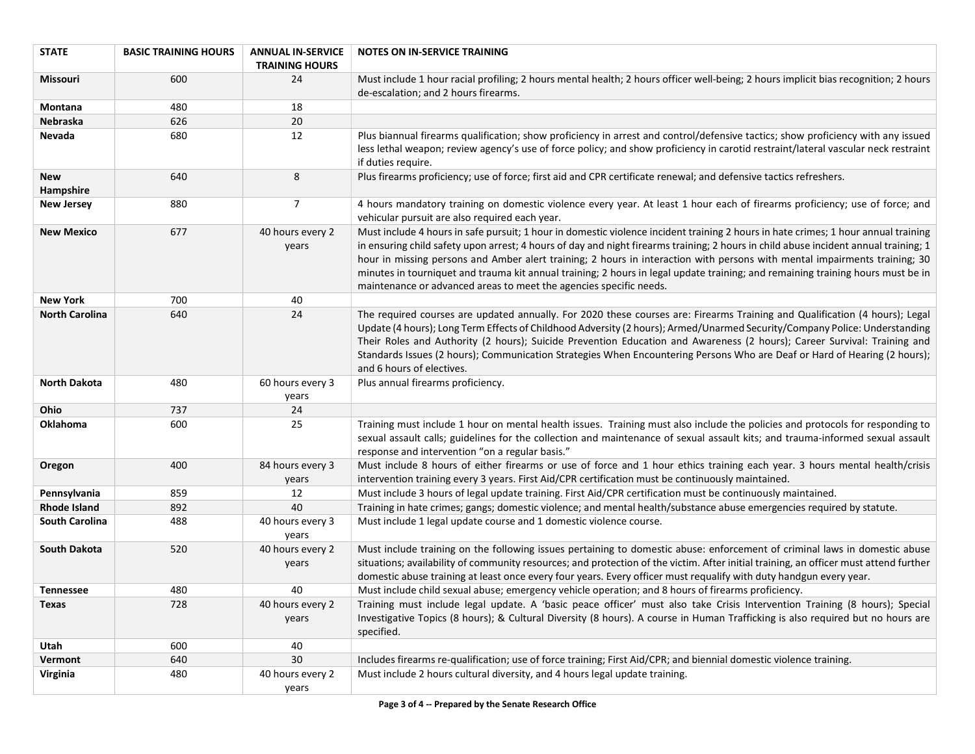| <b>STATE</b>            | <b>BASIC TRAINING HOURS</b> | <b>ANNUAL IN-SERVICE</b>  | <b>NOTES ON IN-SERVICE TRAINING</b>                                                                                                                                                                                                                                                                                                                                                                                                                                                                                                             |
|-------------------------|-----------------------------|---------------------------|-------------------------------------------------------------------------------------------------------------------------------------------------------------------------------------------------------------------------------------------------------------------------------------------------------------------------------------------------------------------------------------------------------------------------------------------------------------------------------------------------------------------------------------------------|
|                         |                             | <b>TRAINING HOURS</b>     |                                                                                                                                                                                                                                                                                                                                                                                                                                                                                                                                                 |
| Missouri                | 600                         | 24                        | Must include 1 hour racial profiling; 2 hours mental health; 2 hours officer well-being; 2 hours implicit bias recognition; 2 hours<br>de-escalation; and 2 hours firearms.                                                                                                                                                                                                                                                                                                                                                                     |
| Montana                 | 480                         | 18                        |                                                                                                                                                                                                                                                                                                                                                                                                                                                                                                                                                 |
| Nebraska                | 626                         | 20                        |                                                                                                                                                                                                                                                                                                                                                                                                                                                                                                                                                 |
| Nevada                  | 680                         | 12                        | Plus biannual firearms qualification; show proficiency in arrest and control/defensive tactics; show proficiency with any issued<br>less lethal weapon; review agency's use of force policy; and show proficiency in carotid restraint/lateral vascular neck restraint                                                                                                                                                                                                                                                                          |
|                         |                             |                           | if duties require.                                                                                                                                                                                                                                                                                                                                                                                                                                                                                                                              |
| <b>New</b><br>Hampshire | 640                         | 8                         | Plus firearms proficiency; use of force; first aid and CPR certificate renewal; and defensive tactics refreshers.                                                                                                                                                                                                                                                                                                                                                                                                                               |
| <b>New Jersey</b>       | 880                         | $\overline{7}$            | 4 hours mandatory training on domestic violence every year. At least 1 hour each of firearms proficiency; use of force; and<br>vehicular pursuit are also required each year.                                                                                                                                                                                                                                                                                                                                                                   |
| <b>New Mexico</b>       | 677                         | 40 hours every 2          | Must include 4 hours in safe pursuit; 1 hour in domestic violence incident training 2 hours in hate crimes; 1 hour annual training                                                                                                                                                                                                                                                                                                                                                                                                              |
|                         |                             | years                     | in ensuring child safety upon arrest; 4 hours of day and night firearms training; 2 hours in child abuse incident annual training; 1<br>hour in missing persons and Amber alert training; 2 hours in interaction with persons with mental impairments training; 30<br>minutes in tourniquet and trauma kit annual training; 2 hours in legal update training; and remaining training hours must be in<br>maintenance or advanced areas to meet the agencies specific needs.                                                                     |
| <b>New York</b>         | 700                         | 40                        |                                                                                                                                                                                                                                                                                                                                                                                                                                                                                                                                                 |
| <b>North Carolina</b>   | 640                         | 24                        | The required courses are updated annually. For 2020 these courses are: Firearms Training and Qualification (4 hours); Legal<br>Update (4 hours); Long Term Effects of Childhood Adversity (2 hours); Armed/Unarmed Security/Company Police: Understanding<br>Their Roles and Authority (2 hours); Suicide Prevention Education and Awareness (2 hours); Career Survival: Training and<br>Standards Issues (2 hours); Communication Strategies When Encountering Persons Who are Deaf or Hard of Hearing (2 hours);<br>and 6 hours of electives. |
| <b>North Dakota</b>     | 480                         | 60 hours every 3<br>years | Plus annual firearms proficiency.                                                                                                                                                                                                                                                                                                                                                                                                                                                                                                               |
| Ohio                    | 737                         | 24                        |                                                                                                                                                                                                                                                                                                                                                                                                                                                                                                                                                 |
| Oklahoma                | 600                         | 25                        | Training must include 1 hour on mental health issues. Training must also include the policies and protocols for responding to<br>sexual assault calls; guidelines for the collection and maintenance of sexual assault kits; and trauma-informed sexual assault<br>response and intervention "on a regular basis."                                                                                                                                                                                                                              |
| Oregon                  | 400                         | 84 hours every 3<br>years | Must include 8 hours of either firearms or use of force and 1 hour ethics training each year. 3 hours mental health/crisis<br>intervention training every 3 years. First Aid/CPR certification must be continuously maintained.                                                                                                                                                                                                                                                                                                                 |
| Pennsylvania            | 859                         | 12                        | Must include 3 hours of legal update training. First Aid/CPR certification must be continuously maintained.                                                                                                                                                                                                                                                                                                                                                                                                                                     |
| <b>Rhode Island</b>     | 892                         | 40                        | Training in hate crimes; gangs; domestic violence; and mental health/substance abuse emergencies required by statute.                                                                                                                                                                                                                                                                                                                                                                                                                           |
| <b>South Carolina</b>   | 488                         | 40 hours every 3<br>years | Must include 1 legal update course and 1 domestic violence course.                                                                                                                                                                                                                                                                                                                                                                                                                                                                              |
| <b>South Dakota</b>     | 520                         | 40 hours every 2<br>years | Must include training on the following issues pertaining to domestic abuse: enforcement of criminal laws in domestic abuse<br>situations; availability of community resources; and protection of the victim. After initial training, an officer must attend further<br>domestic abuse training at least once every four years. Every officer must requalify with duty handgun every year.                                                                                                                                                       |
| <b>Tennessee</b>        | 480                         | 40                        | Must include child sexual abuse; emergency vehicle operation; and 8 hours of firearms proficiency.                                                                                                                                                                                                                                                                                                                                                                                                                                              |
| Texas                   | 728                         | 40 hours every 2          | Training must include legal update. A 'basic peace officer' must also take Crisis Intervention Training (8 hours); Special                                                                                                                                                                                                                                                                                                                                                                                                                      |
|                         |                             | years                     | Investigative Topics (8 hours); & Cultural Diversity (8 hours). A course in Human Trafficking is also required but no hours are<br>specified.                                                                                                                                                                                                                                                                                                                                                                                                   |
| Utah                    | 600                         | 40                        |                                                                                                                                                                                                                                                                                                                                                                                                                                                                                                                                                 |
| Vermont                 | 640                         | 30                        | Includes firearms re-qualification; use of force training; First Aid/CPR; and biennial domestic violence training.                                                                                                                                                                                                                                                                                                                                                                                                                              |
| Virginia                | 480                         | 40 hours every 2<br>years | Must include 2 hours cultural diversity, and 4 hours legal update training.                                                                                                                                                                                                                                                                                                                                                                                                                                                                     |